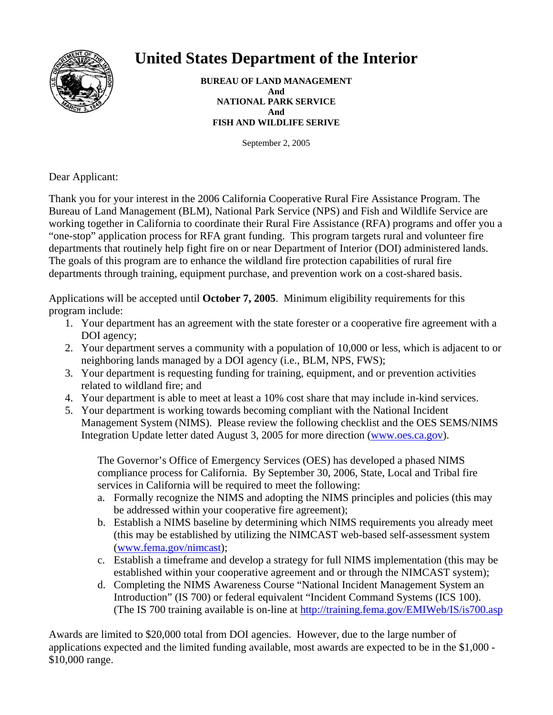

# **United States Department of the Interior**

**BUREAU OF LAND MANAGEMENT And NATIONAL PARK SERVICE And FISH AND WILDLIFE SERIVE** 

September 2, 2005

Dear Applicant:

Thank you for your interest in the 2006 California Cooperative Rural Fire Assistance Program. The Bureau of Land Management (BLM), National Park Service (NPS) and Fish and Wildlife Service are working together in California to coordinate their Rural Fire Assistance (RFA) programs and offer you a "one-stop" application process for RFA grant funding. This program targets rural and volunteer fire departments that routinely help fight fire on or near Department of Interior (DOI) administered lands. The goals of this program are to enhance the wildland fire protection capabilities of rural fire departments through training, equipment purchase, and prevention work on a cost-shared basis.

Applications will be accepted until **October 7, 2005**. Minimum eligibility requirements for this program include:

- 1. Your department has an agreement with the state forester or a cooperative fire agreement with a DOI agency;
- 2. Your department serves a community with a population of 10,000 or less, which is adjacent to or neighboring lands managed by a DOI agency (i.e., BLM, NPS, FWS);
- 3. Your department is requesting funding for training, equipment, and or prevention activities related to wildland fire; and
- 4. Your department is able to meet at least a 10% cost share that may include in-kind services.
- 5. Your department is working towards becoming compliant with the National Incident Management System (NIMS). Please review the following checklist and the OES SEMS/NIMS Integration Update letter dated August 3, 2005 for more direction (www.oes.ca.gov).

The Governor's Office of Emergency Services (OES) has developed a phased NIMS compliance process for California. By September 30, 2006, State, Local and Tribal fire services in California will be required to meet the following:

- a. Formally recognize the NIMS and adopting the NIMS principles and policies (this may be addressed within your cooperative fire agreement);
- b. Establish a NIMS baseline by determining which NIMS requirements you already meet (this may be established by utilizing the NIMCAST web-based self-assessment system (www.fema.gov/nimcast);
- c. Establish a timeframe and develop a strategy for full NIMS implementation (this may be established within your cooperative agreement and or through the NIMCAST system);
- d. Completing the NIMS Awareness Course "National Incident Management System an Introduction" (IS 700) or federal equivalent "Incident Command Systems (ICS 100). (The IS 700 training available is on-line at http://training.fema.gov/EMIWeb/IS/is700.asp

Awards are limited to \$20,000 total from DOI agencies. However, due to the large number of applications expected and the limited funding available, most awards are expected to be in the \$1,000 - \$10,000 range.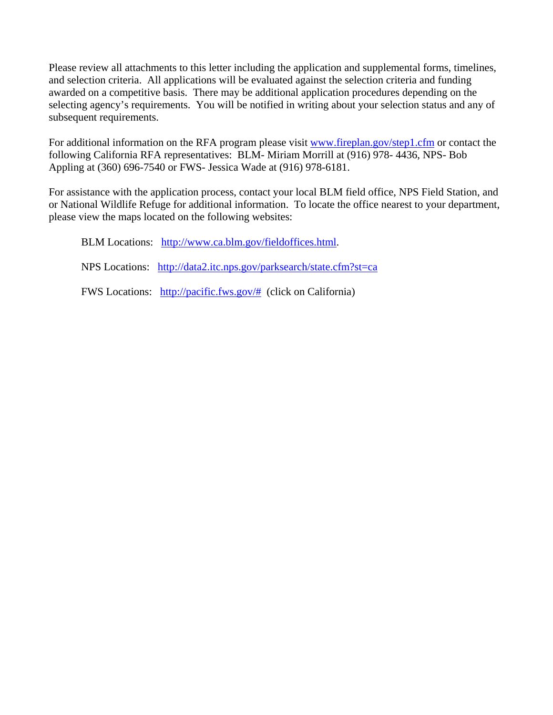Please review all attachments to this letter including the application and supplemental forms, timelines, and selection criteria. All applications will be evaluated against the selection criteria and funding awarded on a competitive basis. There may be additional application procedures depending on the selecting agency's requirements. You will be notified in writing about your selection status and any of subsequent requirements.

For additional information on the RFA program please visit www.fireplan.gov/step1.cfm or contact the following California RFA representatives: BLM- Miriam Morrill at (916) 978- 4436, NPS- Bob Appling at (360) 696-7540 or FWS- Jessica Wade at (916) 978-6181.

For assistance with the application process, contact your local BLM field office, NPS Field Station, and or National Wildlife Refuge for additional information. To locate the office nearest to your department, please view the maps located on the following websites:

BLM Locations: http://www.ca.blm.gov/fieldoffices.html. NPS Locations: http://data2.itc.nps.gov/parksearch/state.cfm?st=ca FWS Locations: http://pacific.fws.gov/# (click on California)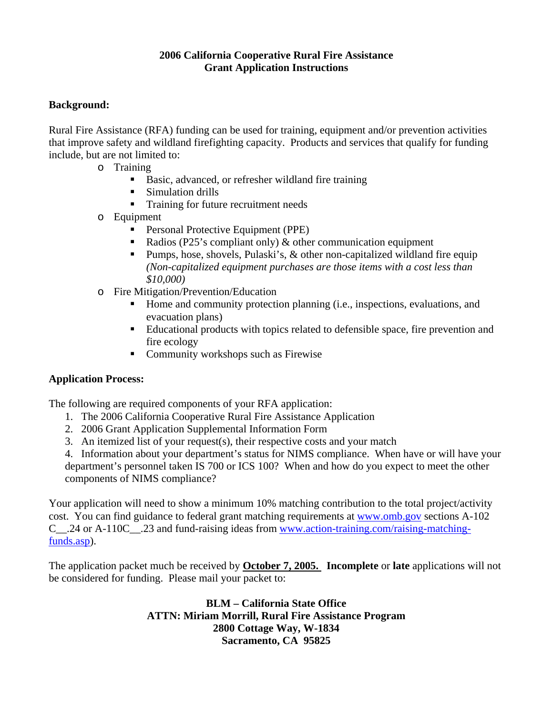#### **2006 California Cooperative Rural Fire Assistance Grant Application Instructions**

## **Background:**

Rural Fire Assistance (RFA) funding can be used for training, equipment and/or prevention activities that improve safety and wildland firefighting capacity. Products and services that qualify for funding include, but are not limited to:

- o Training
	- Basic, advanced, or refresher wildland fire training
	- Simulation drills
	- Training for future recruitment needs
- o Equipment
	- **Personal Protective Equipment (PPE)**
	- Radios (P25's compliant only)  $\&$  other communication equipment
	- **Pumps, hose, shovels, Pulaski's, & other non-capitalized wildland fire equip** *(Non-capitalized equipment purchases are those items with a cost less than \$10,000)*
- o Fire Mitigation/Prevention/Education
	- Home and community protection planning (i.e., inspections, evaluations, and evacuation plans)
	- Educational products with topics related to defensible space, fire prevention and fire ecology
	- Community workshops such as Firewise

#### **Application Process:**

The following are required components of your RFA application:

- 1. The 2006 California Cooperative Rural Fire Assistance Application
- 2. 2006 Grant Application Supplemental Information Form
- 3. An itemized list of your request(s), their respective costs and your match

4. Information about your department's status for NIMS compliance. When have or will have your department's personnel taken IS 700 or ICS 100? When and how do you expect to meet the other components of NIMS compliance?

Your application will need to show a minimum 10% matching contribution to the total project/activity cost. You can find guidance to federal grant matching requirements at www.omb.gov sections A-102 C .24 or A-110C .23 and fund-raising ideas from www.action-training.com/raising-matchingfunds.asp).

The application packet much be received by **October 7, 2005. Incomplete** or **late** applications will not be considered for funding. Please mail your packet to:

> **BLM – California State Office ATTN: Miriam Morrill, Rural Fire Assistance Program 2800 Cottage Way, W-1834 Sacramento, CA 95825**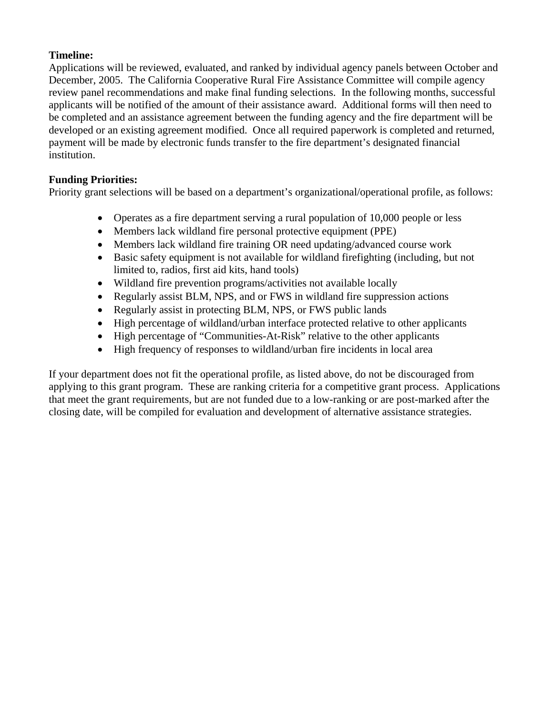## **Timeline:**

Applications will be reviewed, evaluated, and ranked by individual agency panels between October and December, 2005. The California Cooperative Rural Fire Assistance Committee will compile agency review panel recommendations and make final funding selections. In the following months, successful applicants will be notified of the amount of their assistance award. Additional forms will then need to be completed and an assistance agreement between the funding agency and the fire department will be developed or an existing agreement modified. Once all required paperwork is completed and returned, payment will be made by electronic funds transfer to the fire department's designated financial institution.

# **Funding Priorities:**

Priority grant selections will be based on a department's organizational/operational profile, as follows:

- Operates as a fire department serving a rural population of 10,000 people or less
- Members lack wildland fire personal protective equipment (PPE)
- Members lack wildland fire training OR need updating/advanced course work
- Basic safety equipment is not available for wildland firefighting (including, but not limited to, radios, first aid kits, hand tools)
- Wildland fire prevention programs/activities not available locally
- Regularly assist BLM, NPS, and or FWS in wildland fire suppression actions
- Regularly assist in protecting BLM, NPS, or FWS public lands
- High percentage of wildland/urban interface protected relative to other applicants
- High percentage of "Communities-At-Risk" relative to the other applicants
- High frequency of responses to wildland/urban fire incidents in local area

If your department does not fit the operational profile, as listed above, do not be discouraged from applying to this grant program. These are ranking criteria for a competitive grant process. Applications that meet the grant requirements, but are not funded due to a low-ranking or are post-marked after the closing date, will be compiled for evaluation and development of alternative assistance strategies.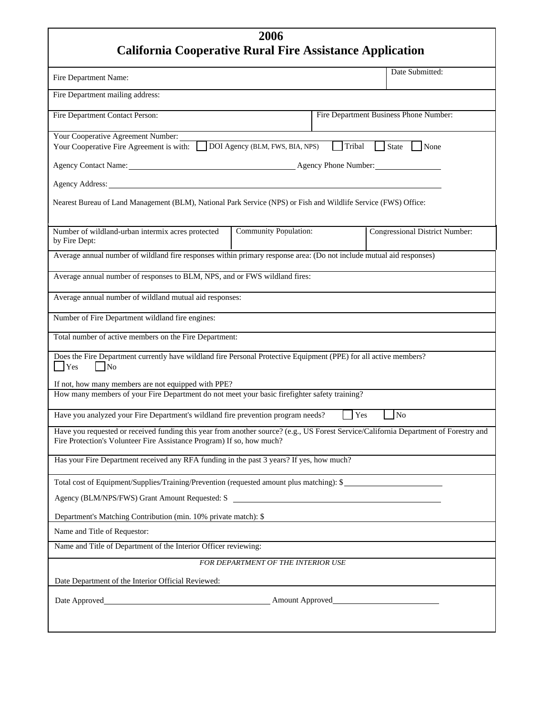| 2006                                                                                                                                                                                                                           |     |  |                                       |
|--------------------------------------------------------------------------------------------------------------------------------------------------------------------------------------------------------------------------------|-----|--|---------------------------------------|
| <b>California Cooperative Rural Fire Assistance Application</b>                                                                                                                                                                |     |  |                                       |
| Fire Department Name:                                                                                                                                                                                                          |     |  | Date Submitted:                       |
| Fire Department mailing address:                                                                                                                                                                                               |     |  |                                       |
| Fire Department Contact Person:<br>Fire Department Business Phone Number:                                                                                                                                                      |     |  |                                       |
| <b>Your Cooperative Agreement Number:</b><br>Tribal State<br>Your Cooperative Fire Agreement is with: DOI Agency (BLM, FWS, BIA, NPS)<br>  None                                                                                |     |  |                                       |
|                                                                                                                                                                                                                                |     |  |                                       |
| Agency Address: Management of the Contractor of the Contractor of the Contractor of the Contractor of the Contractor of the Contractor of the Contractor of the Contractor of the Contractor of the Contractor of the Contract |     |  |                                       |
| Nearest Bureau of Land Management (BLM), National Park Service (NPS) or Fish and Wildlife Service (FWS) Office:                                                                                                                |     |  |                                       |
| <b>Community Population:</b><br>Number of wildland-urban intermix acres protected<br>by Fire Dept:                                                                                                                             |     |  | <b>Congressional District Number:</b> |
| Average annual number of wildland fire responses within primary response area: (Do not include mutual aid responses)                                                                                                           |     |  |                                       |
| Average annual number of responses to BLM, NPS, and or FWS wildland fires:                                                                                                                                                     |     |  |                                       |
| Average annual number of wildland mutual aid responses:                                                                                                                                                                        |     |  |                                       |
| Number of Fire Department wildland fire engines:                                                                                                                                                                               |     |  |                                       |
| Total number of active members on the Fire Department:                                                                                                                                                                         |     |  |                                       |
| Does the Fire Department currently have wildland fire Personal Protective Equipment (PPE) for all active members?<br>$\Box$ No<br>Yes                                                                                          |     |  |                                       |
| If not, how many members are not equipped with PPE?                                                                                                                                                                            |     |  |                                       |
| How many members of your Fire Department do not meet your basic firefighter safety training?                                                                                                                                   |     |  |                                       |
| Have you analyzed your Fire Department's wildland fire prevention program needs?                                                                                                                                               | Yes |  | $\log$                                |
| Have you requested or received funding this year from another source? (e.g., US Forest Service/California Department of Forestry and<br>Fire Protection's Volunteer Fire Assistance Program) If so, how much?                  |     |  |                                       |
| Has your Fire Department received any RFA funding in the past 3 years? If yes, how much?                                                                                                                                       |     |  |                                       |
| Total cost of Equipment/Supplies/Training/Prevention (requested amount plus matching): \$                                                                                                                                      |     |  |                                       |
|                                                                                                                                                                                                                                |     |  |                                       |
| Department's Matching Contribution (min. 10% private match): \$                                                                                                                                                                |     |  |                                       |
| Name and Title of Requestor:                                                                                                                                                                                                   |     |  |                                       |
| Name and Title of Department of the Interior Officer reviewing:                                                                                                                                                                |     |  |                                       |
| FOR DEPARTMENT OF THE INTERIOR USE                                                                                                                                                                                             |     |  |                                       |
| Date Department of the Interior Official Reviewed:                                                                                                                                                                             |     |  |                                       |
|                                                                                                                                                                                                                                |     |  |                                       |
|                                                                                                                                                                                                                                |     |  |                                       |